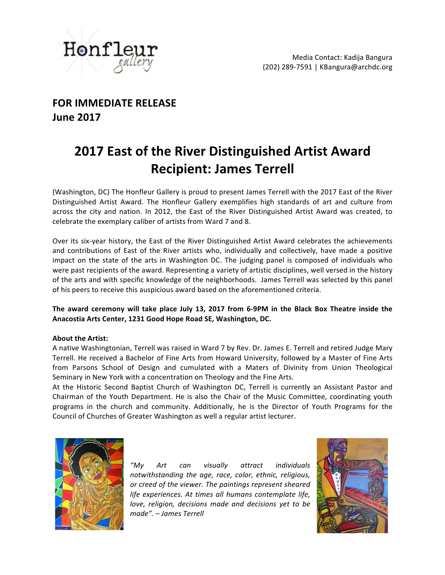

## **FOR IMMEDIATE RELEASE June 2017**

# **2017 East of the River Distinguished Artist Award Recipient: James Terrell**

(Washington, DC) The Honfleur Gallery is proud to present James Terrell with the 2017 East of the River Distinguished Artist Award. The Honfleur Gallery exemplifies high standards of art and culture from across the city and nation. In 2012, the East of the River Distinguished Artist Award was created, to celebrate the exemplary caliber of artists from Ward 7 and 8.

Over its six-year history, the East of the River Distinguished Artist Award celebrates the achievements and contributions of East of the River artists who, individually and collectively, have made a positive impact on the state of the arts in Washington DC. The judging panel is composed of individuals who were past recipients of the award. Representing a variety of artistic disciplines, well versed in the history of the arts and with specific knowledge of the neighborhoods. James Terrell was selected by this panel of his peers to receive this auspicious award based on the aforementioned criteria.

The award ceremony will take place July 13, 2017 from 6-9PM in the Black Box Theatre inside the **Anacostia Arts Center, 1231 Good Hope Road SE, Washington, DC.** 

### **About the Artist:**

A native Washingtonian, Terrell was raised in Ward 7 by Rev. Dr. James E. Terrell and retired Judge Mary Terrell. He received a Bachelor of Fine Arts from Howard University, followed by a Master of Fine Arts from Parsons School of Design and cumulated with a Maters of Divinity from Union Theological Seminary in New York with a concentration on Theology and the Fine Arts.

At the Historic Second Baptist Church of Washington DC, Terrell is currently an Assistant Pastor and Chairman of the Youth Department. He is also the Chair of the Music Committee, coordinating youth programs in the church and community. Additionally, he is the Director of Youth Programs for the Council of Churches of Greater Washington as well a regular artist lecturer.



*"My Art can visually attract individuals notwithstanding the age, race, color, ethnic, religious, or creed of the viewer. The paintings represent sheared*  life experiences. At times all humans contemplate life, *love, religion, decisions made and decisions yet to be made". – James Terrell*